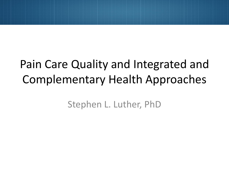# Pain Care Quality and Integrated and Complementary Health Approaches

Stephen L. Luther, PhD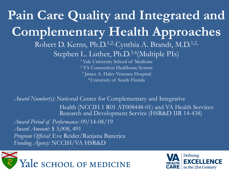<sup>1</sup> Yale University School of Medicine <sup>2</sup> VA Connecticut Healthcare System <sup>3</sup> James A. Haley Veterans Hospital **Pain Care Quality and Integrated and Complementary Health Approaches** Robert D. Kerns, Ph.D.<sup>1,2,</sup> Cynthia A. Brandt, M.D.<sup>1,2,1</sup> Stephen L. Luther, Ph.D.<sup>3,4</sup>(Multiple PIs) 4 University of South Florida

*Award Number(s):* National Center for Complementary and Integrative Health (NCCIH 1 R01 AT008448-01) and VA Health Services Research and Development Service (HSR&D IIR 14-438)

 *Award Amount:* \$ 3,008, 491 *Program Official:* Eve Reider/Ranjana Banerjea *Award Period of Performance:* 09/14-08/19 *Funding Agency:* NCCIH/VA HSR&D



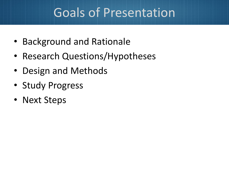# Goals of Presentation

- Background and Rationale
- Research Questions/Hypotheses
- Design and Methods
- Study Progress
- Next Steps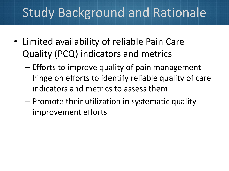- Limited availability of reliable Pain Care Quality (PCQ) indicators and metrics
	- Efforts to improve quality of pain management hinge on efforts to identify reliable quality of care indicators and metrics to assess them
	- Promote their utilization in systematic quality improvement efforts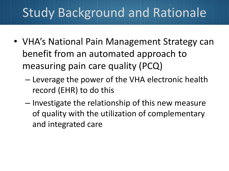- VHA's National Pain Management Strategy can benefit from an automated approach to measuring pain care quality (PCQ)
	- Leverage the power of the VHA electronic health record (EHR) to do this
	- Investigate the relationship of this new measure of quality with the utilization of complementary and integrated care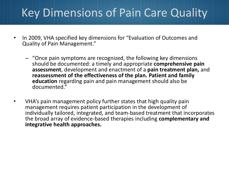## Key Dimensions of Pain Care Quality

- In 2009, VHA specified key dimensions for "Evaluation of Outcomes and Quality of Pain Management."
	- – "Once pain symptoms are recognized, the following key dimensions **education** regarding pain and pain management should also be should be documented: a timely and appropriate **comprehensive pain assessment**, development and enactment of a **pain treatment plan,** and **reassessment of the effectiveness of the plan. Patient and family**  documented."
- individually tailored, integrated, and team-based treatment that incorporates VHA's pain management policy further states that high quality pain management requires patient participation in the development of the broad array of evidence-based therapies including **complementary and integrative health approaches.**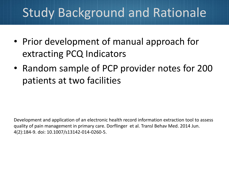- Prior development of manual approach for extracting PCQ Indicators
- • Random sample of PCP provider notes for 200 patients at two facilities

 quality of pain management in primary care. Dorflinger et al. Transl Behav Med. 2014 Jun. Development and application of an electronic health record information extraction tool to assess 4(2):184-9. doi: 10.1007/s13142-014-0260-5.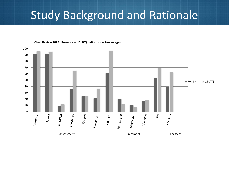

**Chart Review 2012: Presence of 12 PCQ Indicators in Percentages**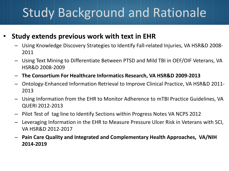#### **Study extends previous work with text in EHR**

- $-$  Using Knowledge Discovery Strategies to Identify Fall-related Injuries, VA HSR&D 2008-2011
- $-$  Using Text Mining to Differentiate Between PTSD and Mild TBI in OEF/OIF Veterans, VA HSR&D 2008-2009
- – **The Consortium For Healthcare Informatics Research, VA HSR&D 2009-2013**
- $-$  Ontology-Enhanced Information Retrieval to Improve Clinical Practice, VA HSR&D 2011-2013
- $-$  Using Information from the EHR to Monitor Adherence to mTBI Practice Guidelines, VA QUERI 2012-2013
- Pilot Test of tag line to Identify Sections within Progress Notes VA NCPS 2012
- Leveraging Information in the EHR to Measure Pressure Ulcer Risk in Veterans with SCI, VA HSR&D 2012-2017
- $-$  Pain Care Quality and Integrated and Complementary Health Approaches, VA/NIH **2014-2019**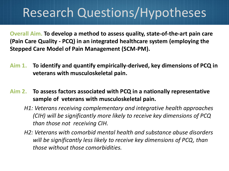# Research Questions/Hypotheses

**Overall Aim. To develop a method to assess quality, state-of-the-art pain care (Pain Care Quality - PCQ) in an integrated healthcare system (employing the Stepped Care Model of Pain Management (SCM-PM).** 

- **Aim 1. To identify and quantify empirically-derived, key dimensions of PCQ in veterans with musculoskeletal pain.**
- **Aim 2. To assess factors associated with PCQ in a nationally representative sample of veterans with musculoskeletal pain.** 
	- *H1: Veterans receiving complementary and integrative health approaches (CIH) will be significantly more likely to receive key dimensions of PCQ than those not receiving CIH.*
	- *H2: Veterans with comorbid mental health and substance abuse disorders will be significantly less likely to receive key dimensions of PCQ, than those without those comorbidities.*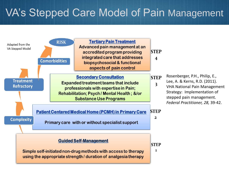## VA's Stepped Care Model of Pain Management

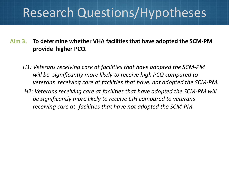# Research Questions/Hypotheses

 **provide higher PCQ. Aim 3. To determine whether VHA facilities that have adopted the SCM-PM** 

- *H1: Veterans receiving care at facilities that have adopted the SCM-PM will be significantly more likely to receive high PCQ compared to veterans receiving care at facilities that have. not adopted the SCM-PM.*
- *H2: Veterans receiving care at facilities that have adopted the SCM-PM will be significantly more likely to receive CIH compared to veterans receiving care at facilities that have not adopted the SCM-PM.*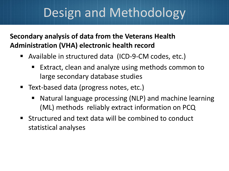# Design and Methodology

#### **Secondary analysis of data from the Veterans Health Administration (VHA) electronic health record**

- Available in structured data (ICD-9-CM codes, etc.)
	- Extract, clean and analyze using methods common to large secondary database studies
- Text-based data (progress notes, etc.)
	- Natural language processing (NLP) and machine learning (ML) methods reliably extract information on PCQ
- Structured and text data will be combined to conduct statistical analyses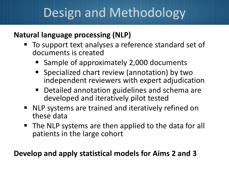# Design and Methodology

#### **Natural language processing (NLP)**

- To support text analyses a reference standard set of documents is created
	- Sample of approximately 2,000 documents
	- Specialized chart review (annotation) by two independent reviewers with expert adjudication
	- Detailed annotation guidelines and schema are developed and iteratively pilot tested
- NLP systems are trained and iteratively refined on these data
- The NLP systems are then applied to the data for all patients in the large cohort

#### **Develop and apply statistical models for Aims 2 and 3**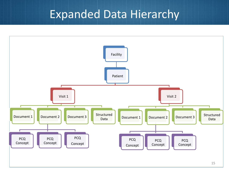### Expanded Data Hierarchy

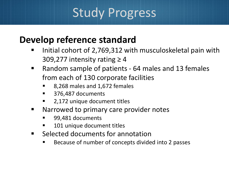# Study Progress

#### **Develop reference standard**

- Initial cohort of 2,769,312 with musculoskeletal pain with 309,277 intensity rating  $\geq 4$
- Random sample of patients 64 males and 13 females from each of 130 corporate facilities
	- 8,268 males and 1,672 females
	- 376,487 documents
	- 2,172 unique document titles
- **Narrowed to primary care provider notes** 
	- 99,481 documents
	- 101 unique document titles
- **E** Selected documents for annotation
	- Because of number of concepts divided into 2 passes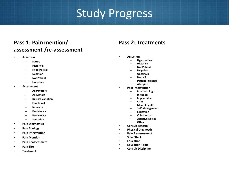# Study Progress

#### **Pass 1: Pain mention/ assessment /re-assessment**

- **Assertion** 
	- **Future**
	- **Historical**
	- **Hypothetical**
	- **Negation**
	- **Not Patient**
	- **Uncertain**
- **Assessment** 
	- **Aggravators**
	- **Alleviators**
	- **Diurnal Variation**
	- **Functional**
	- **Intensity**
	- **Persistence**
	- **Persistence**
	- **Sensation**
- **Pain Diagnostics**
- **Pain Etiology**
- **Pain Intervention**
- **Pain Mention**
- **Pain Reassessment**
- **Pain Site**
- **Treatment**

#### **Pass 2: Treatments**

- **Assertion** 
	- **Hypothetical**
	- **Historical**
	- **Not Patient**
	- **Negation**
	- **Uncertain**
	- **Non VA**
	- **Patient-initiated**
	- **Allergies**
- **Pain Intervention** 
	- **Pharmacologic**
	- **Injection**
	- **Implantable**
	- **CAM**
	- **Mental Health**
	- **Self-Management**
	- **Education**
	- **Chiropractic**
	- **Assistive Device**
	- **Other**
- **Consult Referral**
- **Physical Diagnostic**
- **Pain Reassessment**
- **Side Effect**
- **Education**
- **Education Topic**
- **Consult Discipline**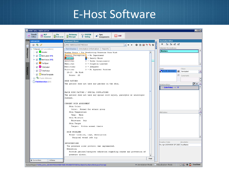### E-Host Software

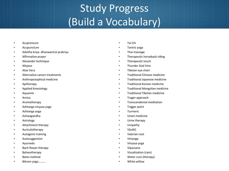## Study Progress (Build a Vocabulary)

- Acupressure
- **Acupuncture**
- Advitha kriya- dhanwantrai prakriya
- Affirmative prayer
- Alexander technique
- Allspice
- Aloe Vera
- Alternative cancer treatments
- Anthroposophical medicine
- Apitherapy
- Applied kinesiology
- Aquamin
- **Arnica**
- Aromatherapy
- Ashtanga vinyasa yoga
- Ashtanga yoga
- Ashwagandha
- **Astrology**
- Attachment therapy
- Auriculotherapy
- Autogenic training
- Autosuggestion
- Ayurveda
- Bach flower therapy
- Balneotherapy
- Bates method
- Bikram yoga..........
- Tai Chi
- Tantric yoga
- Thai massage
- Therapeutic horseback riding
- Therapeutic touch
- Thunder God Vine
- Tibetan eye chart
- Traditional Chinese medicine
- Traditional Japanese medicine
- Traditional Korean medicine
- Traditional Mongolian medicine
- Traditional Tibetan medicine
- Trager approach
- Transcendental meditation
- Trigger point
- Turmeric
- Unani medicine
- Urine therapy
- Uropathy
- V[edit]
- Valerian root
- Viniyoga
- Vinyasa yoga
- Vipassana
- Visualization (cam)
- Water cure (therapy)
- White willow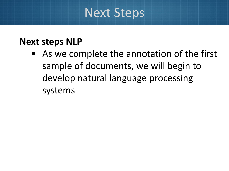# Next Steps

#### **Next steps NLP**

■ As we complete the annotation of the first sample of documents, we will begin to develop natural language processing systems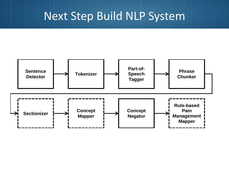## Next Step Build NLP System

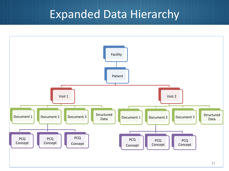### Expanded Data Hierarchy

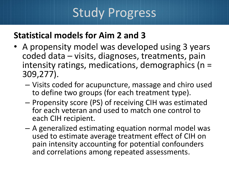# Study Progress

#### **Statistical models for Aim 2 and 3**

- coded data visits, diagnoses, treatments, pain • A propensity model was developed using 3 years intensity ratings, medications, demographics (n = 309,277).
	- Visits coded for acupuncture, massage and chiro used to define two groups (for each treatment type).
	- Propensity score (PS) of receiving CIH was estimated for each veteran and used to match one control to each CIH recipient.
	- A generalized estimating equation normal model was used to estimate average treatment effect of CIH on pain intensity accounting for potential confounders and correlations among repeated assessments.